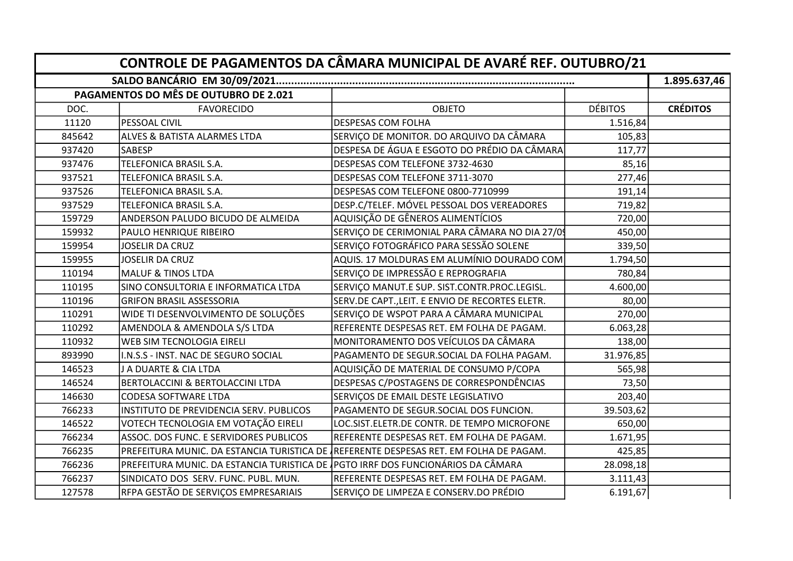| CONTROLE DE PAGAMENTOS DA CÂMARA MUNICIPAL DE AVARÉ REF. OUTUBRO/21 |                                                                                  |                                                                                       |                |                 |  |  |
|---------------------------------------------------------------------|----------------------------------------------------------------------------------|---------------------------------------------------------------------------------------|----------------|-----------------|--|--|
|                                                                     |                                                                                  |                                                                                       |                |                 |  |  |
|                                                                     | PAGAMENTOS DO MÊS DE OUTUBRO DE 2.021                                            |                                                                                       |                |                 |  |  |
| DOC.                                                                | <b>FAVORECIDO</b>                                                                | <b>OBJETO</b>                                                                         | <b>DÉBITOS</b> | <b>CRÉDITOS</b> |  |  |
| 11120                                                               | PESSOAL CIVIL                                                                    | <b>DESPESAS COM FOLHA</b>                                                             | 1.516,84       |                 |  |  |
| 845642                                                              | <b>ALVES &amp; BATISTA ALARMES LTDA</b>                                          | SERVIÇO DE MONITOR. DO ARQUIVO DA CÂMARA                                              | 105,83         |                 |  |  |
| 937420                                                              | <b>SABESP</b>                                                                    | DESPESA DE ÁGUA E ESGOTO DO PRÉDIO DA CÂMARA                                          | 117,77         |                 |  |  |
| 937476                                                              | TELEFONICA BRASIL S.A.                                                           | DESPESAS COM TELEFONE 3732-4630                                                       | 85,16          |                 |  |  |
| 937521                                                              | TELEFONICA BRASIL S.A.                                                           | DESPESAS COM TELEFONE 3711-3070                                                       | 277,46         |                 |  |  |
| 937526                                                              | TELEFONICA BRASIL S.A.                                                           | DESPESAS COM TELEFONE 0800-7710999                                                    | 191,14         |                 |  |  |
| 937529                                                              | TELEFONICA BRASIL S.A.                                                           | DESP.C/TELEF. MÓVEL PESSOAL DOS VEREADORES                                            | 719,82         |                 |  |  |
| 159729                                                              | ANDERSON PALUDO BICUDO DE ALMEIDA                                                | AQUISIÇÃO DE GÊNEROS ALIMENTÍCIOS                                                     | 720,00         |                 |  |  |
| 159932                                                              | PAULO HENRIQUE RIBEIRO                                                           | SERVIÇO DE CERIMONIAL PARA CÂMARA NO DIA 27/09                                        | 450,00         |                 |  |  |
| 159954                                                              | JOSELIR DA CRUZ                                                                  | SERVIÇO FOTOGRÁFICO PARA SESSÃO SOLENE                                                | 339,50         |                 |  |  |
| 159955                                                              | JOSELIR DA CRUZ                                                                  | AQUIS. 17 MOLDURAS EM ALUMÍNIO DOURADO COM                                            | 1.794,50       |                 |  |  |
| 110194                                                              | <b>MALUF &amp; TINOS LTDA</b>                                                    | SERVIÇO DE IMPRESSÃO E REPROGRAFIA                                                    | 780,84         |                 |  |  |
| 110195                                                              | SINO CONSULTORIA E INFORMATICA LTDA                                              | SERVIÇO MANUT.E SUP. SIST.CONTR.PROC.LEGISL.                                          | 4.600,00       |                 |  |  |
| 110196                                                              | <b>GRIFON BRASIL ASSESSORIA</b>                                                  | SERV.DE CAPT., LEIT. E ENVIO DE RECORTES ELETR.                                       | 80,00          |                 |  |  |
| 110291                                                              | WIDE TI DESENVOLVIMENTO DE SOLUÇÕES                                              | SERVIÇO DE WSPOT PARA A CÂMARA MUNICIPAL                                              | 270,00         |                 |  |  |
| 110292                                                              | AMENDOLA & AMENDOLA S/S LTDA                                                     | REFERENTE DESPESAS RET. EM FOLHA DE PAGAM.                                            | 6.063,28       |                 |  |  |
| 110932                                                              | WEB SIM TECNOLOGIA EIRELI                                                        | MONITORAMENTO DOS VEÍCULOS DA CÂMARA                                                  | 138,00         |                 |  |  |
| 893990                                                              | I.N.S.S - INST. NAC DE SEGURO SOCIAL                                             | PAGAMENTO DE SEGUR.SOCIAL DA FOLHA PAGAM.                                             | 31.976,85      |                 |  |  |
| 146523                                                              | J A DUARTE & CIA LTDA                                                            | AQUISIÇÃO DE MATERIAL DE CONSUMO P/COPA                                               | 565,98         |                 |  |  |
| 146524                                                              | <b>BERTOLACCINI &amp; BERTOLACCINI LTDA</b>                                      | DESPESAS C/POSTAGENS DE CORRESPONDÊNCIAS                                              | 73,50          |                 |  |  |
| 146630                                                              | <b>CODESA SOFTWARE LTDA</b>                                                      | SERVIÇOS DE EMAIL DESTE LEGISLATIVO                                                   | 203,40         |                 |  |  |
| 766233                                                              | INSTITUTO DE PREVIDENCIA SERV. PUBLICOS                                          | PAGAMENTO DE SEGUR.SOCIAL DOS FUNCION.                                                | 39.503,62      |                 |  |  |
| 146522                                                              | VOTECH TECNOLOGIA EM VOTAÇÃO EIRELI                                              | LOC.SIST.ELETR.DE CONTR. DE TEMPO MICROFONE                                           | 650,00         |                 |  |  |
| 766234                                                              | ASSOC. DOS FUNC. E SERVIDORES PUBLICOS                                           | REFERENTE DESPESAS RET. EM FOLHA DE PAGAM.                                            | 1.671,95       |                 |  |  |
| 766235                                                              |                                                                                  | PREFEITURA MUNIC. DA ESTANCIA TURISTICA DE REFERENTE DESPESAS RET. EM FOLHA DE PAGAM. | 425,85         |                 |  |  |
| 766236                                                              | PREFEITURA MUNIC. DA ESTANCIA TURISTICA DE /PGTO IRRF DOS FUNCIONÁRIOS DA CÂMARA |                                                                                       | 28.098,18      |                 |  |  |
| 766237                                                              | SINDICATO DOS SERV. FUNC. PUBL. MUN.                                             | REFERENTE DESPESAS RET. EM FOLHA DE PAGAM.                                            | 3.111,43       |                 |  |  |
| 127578                                                              | RFPA GESTÃO DE SERVIÇOS EMPRESARIAIS                                             | SERVIÇO DE LIMPEZA E CONSERV.DO PRÉDIO                                                | 6.191,67       |                 |  |  |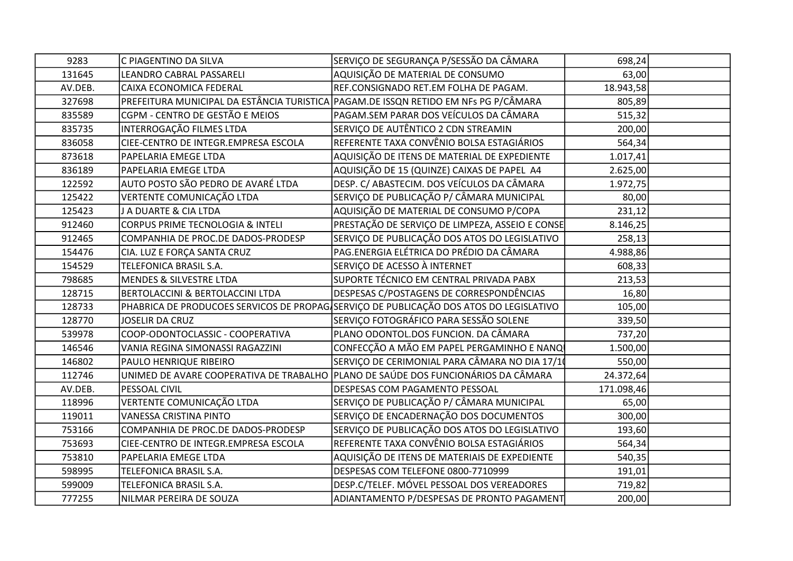| 9283    | C PIAGENTINO DA SILVA                       | SERVIÇO DE SEGURANÇA P/SESSÃO DA CÂMARA                                                | 698,24     |  |
|---------|---------------------------------------------|----------------------------------------------------------------------------------------|------------|--|
| 131645  | LEANDRO CABRAL PASSARELI                    | AQUISIÇÃO DE MATERIAL DE CONSUMO                                                       | 63,00      |  |
| AV.DEB. | CAIXA ECONOMICA FEDERAL                     | REF.CONSIGNADO RET.EM FOLHA DE PAGAM.                                                  | 18.943,58  |  |
| 327698  |                                             | PREFEITURA MUNICIPAL DA ESTÂNCIA TURISTICA PAGAM.DE ISSQN RETIDO EM NFS PG P/CÂMARA    | 805,89     |  |
| 835589  | CGPM - CENTRO DE GESTÃO E MEIOS             | PAGAM.SEM PARAR DOS VEÍCULOS DA CÂMARA                                                 | 515,32     |  |
| 835735  | INTERROGAÇÃO FILMES LTDA                    | SERVIÇO DE AUTÊNTICO 2 CDN STREAMIN                                                    | 200,00     |  |
| 836058  | CIEE-CENTRO DE INTEGR.EMPRESA ESCOLA        | REFERENTE TAXA CONVÊNIO BOLSA ESTAGIÁRIOS                                              | 564,34     |  |
| 873618  | PAPELARIA EMEGE LTDA                        | AQUISIÇÃO DE ITENS DE MATERIAL DE EXPEDIENTE                                           | 1.017,41   |  |
| 836189  | PAPELARIA EMEGE LTDA                        | AQUISIÇÃO DE 15 (QUINZE) CAIXAS DE PAPEL A4                                            | 2.625,00   |  |
| 122592  | AUTO POSTO SÃO PEDRO DE AVARÉ LTDA          | DESP. C/ ABASTECIM. DOS VEÍCULOS DA CÂMARA                                             | 1.972,75   |  |
| 125422  | VERTENTE COMUNICAÇÃO LTDA                   | SERVIÇO DE PUBLICAÇÃO P/ CÂMARA MUNICIPAL                                              | 80,00      |  |
| 125423  | J A DUARTE & CIA LTDA                       | AQUISIÇÃO DE MATERIAL DE CONSUMO P/COPA                                                | 231,12     |  |
| 912460  | CORPUS PRIME TECNOLOGIA & INTELI            | PRESTAÇÃO DE SERVIÇO DE LIMPEZA, ASSEIO E CONSE                                        | 8.146,25   |  |
| 912465  | COMPANHIA DE PROC.DE DADOS-PRODESP          | SERVIÇO DE PUBLICAÇÃO DOS ATOS DO LEGISLATIVO                                          | 258,13     |  |
| 154476  | CIA. LUZ E FORÇA SANTA CRUZ                 | PAG.ENERGIA ELÉTRICA DO PRÉDIO DA CÂMARA                                               | 4.988,86   |  |
| 154529  | TELEFONICA BRASIL S.A.                      | SERVIÇO DE ACESSO À INTERNET                                                           | 608,33     |  |
| 798685  | <b>MENDES &amp; SILVESTRE LTDA</b>          | SUPORTE TÉCNICO EM CENTRAL PRIVADA PABX                                                | 213,53     |  |
| 128715  | <b>BERTOLACCINI &amp; BERTOLACCINI LTDA</b> | DESPESAS C/POSTAGENS DE CORRESPONDÊNCIAS                                               | 16,80      |  |
| 128733  |                                             | PHABRICA DE PRODUCOES SERVICOS DE PROPAG SERVIÇO DE PUBLICAÇÃO DOS ATOS DO LEGISLATIVO | 105,00     |  |
| 128770  | <b>JOSELIR DA CRUZ</b>                      | SERVIÇO FOTOGRÁFICO PARA SESSÃO SOLENE                                                 | 339,50     |  |
| 539978  | COOP-ODONTOCLASSIC - COOPERATIVA            | PLANO ODONTOL.DOS FUNCION. DA CÂMARA                                                   | 737,20     |  |
| 146546  | VANIA REGINA SIMONASSI RAGAZZINI            | CONFECÇÃO A MÃO EM PAPEL PERGAMINHO E NANQ                                             | 1.500,00   |  |
| 146802  | PAULO HENRIQUE RIBEIRO                      | SERVIÇO DE CERIMONIAL PARA CÂMARA NO DIA 17/10                                         | 550,00     |  |
| 112746  |                                             | UNIMED DE AVARE COOPERATIVA DE TRABALHO PLLANO DE SAÚDE DOS FUNCIONÁRIOS DA CÂMARA     | 24.372,64  |  |
| AV.DEB. | PESSOAL CIVIL                               | <b>DESPESAS COM PAGAMENTO PESSOAL</b>                                                  | 171.098,46 |  |
| 118996  | VERTENTE COMUNICAÇÃO LTDA                   | SERVIÇO DE PUBLICAÇÃO P/ CÂMARA MUNICIPAL                                              | 65,00      |  |
| 119011  | VANESSA CRISTINA PINTO                      | SERVIÇO DE ENCADERNAÇÃO DOS DOCUMENTOS                                                 | 300,00     |  |
| 753166  | COMPANHIA DE PROC.DE DADOS-PRODESP          | SERVIÇO DE PUBLICAÇÃO DOS ATOS DO LEGISLATIVO                                          | 193,60     |  |
| 753693  | CIEE-CENTRO DE INTEGR.EMPRESA ESCOLA        | REFERENTE TAXA CONVÊNIO BOLSA ESTAGIÁRIOS                                              | 564,34     |  |
| 753810  | PAPELARIA EMEGE LTDA                        | AQUISIÇÃO DE ITENS DE MATERIAIS DE EXPEDIENTE                                          | 540,35     |  |
| 598995  | TELEFONICA BRASIL S.A.                      | DESPESAS COM TELEFONE 0800-7710999                                                     | 191,01     |  |
| 599009  | TELEFONICA BRASIL S.A.                      | DESP.C/TELEF. MÓVEL PESSOAL DOS VEREADORES                                             | 719,82     |  |
| 777255  | NILMAR PEREIRA DE SOUZA                     | ADIANTAMENTO P/DESPESAS DE PRONTO PAGAMENT                                             | 200,00     |  |